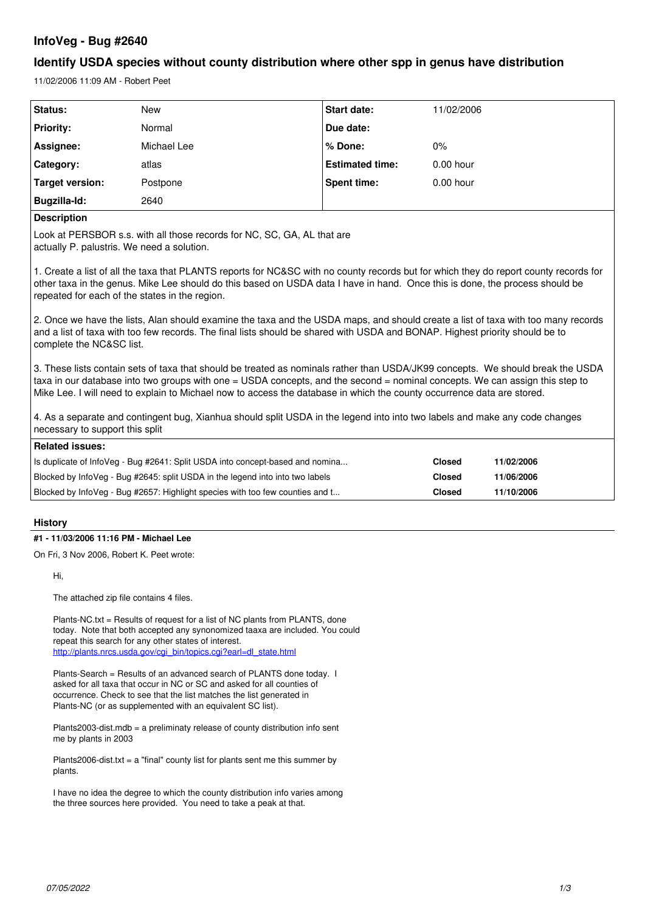# **InfoVeg - Bug #2640**

# **Identify USDA species without county distribution where other spp in genus have distribution**

11/02/2006 11:09 AM - Robert Peet

| Status:          | <b>New</b>  | <b>Start date:</b>     | 11/02/2006  |
|------------------|-------------|------------------------|-------------|
| <b>Priority:</b> | Normal      | Due date:              |             |
| Assignee:        | Michael Lee | % Done:                | 0%          |
| Category:        | atlas       | <b>Estimated time:</b> | $0.00$ hour |
| Target version:  | Postpone    | Spent time:            | $0.00$ hour |
| Bugzilla-Id:     | 2640        |                        |             |

### **Description**

Look at PERSBOR s.s. with all those records for NC, SC, GA, AL that are actually P. palustris. We need a solution.

1. Create a list of all the taxa that PLANTS reports for NC&SC with no county records but for which they do report county records for other taxa in the genus. Mike Lee should do this based on USDA data I have in hand. Once this is done, the process should be repeated for each of the states in the region.

2. Once we have the lists, Alan should examine the taxa and the USDA maps, and should create a list of taxa with too many records and a list of taxa with too few records. The final lists should be shared with USDA and BONAP. Highest priority should be to complete the NC&SC list.

3. These lists contain sets of taxa that should be treated as nominals rather than USDA/JK99 concepts. We should break the USDA taxa in our database into two groups with one = USDA concepts, and the second = nominal concepts. We can assign this step to Mike Lee. I will need to explain to Michael now to access the database in which the county occurrence data are stored.

4. As a separate and contingent bug, Xianhua should split USDA in the legend into into two labels and make any code changes necessary to support this split

| Related issues:                                                               |        |            |  |  |
|-------------------------------------------------------------------------------|--------|------------|--|--|
| Is duplicate of InfoVeg - Bug #2641: Split USDA into concept-based and nomina | Closed | 11/02/2006 |  |  |
| Blocked by InfoVeg - Bug #2645: split USDA in the legend into into two labels | Closed | 11/06/2006 |  |  |
| Blocked by InfoVeg - Bug #2657: Highlight species with too few counties and t | Closed | 11/10/2006 |  |  |

## **History**

### **#1 - 11/03/2006 11:16 PM - Michael Lee**

On Fri, 3 Nov 2006, Robert K. Peet wrote:

Hi,

The attached zip file contains 4 files.

Plants-NC.txt = Results of request for a list of NC plants from PLANTS, done today. Note that both accepted any synonomized taaxa are included. You could repeat this search for any other states of interest. [http://plants.nrcs.usda.gov/cgi\\_bin/topics.cgi?earl=dl\\_state.html](http://plants.nrcs.usda.gov/cgi_bin/topics.cgi?earl=dl_state.html)

Plants-Search = Results of an advanced search of PLANTS done today. I asked for all taxa that occur in NC or SC and asked for all counties of occurrence. Check to see that the list matches the list generated in Plants-NC (or as supplemented with an equivalent SC list).

Plants2003-dist.mdb = a preliminaty release of county distribution info sent me by plants in 2003

Plants2006-dist.txt =  $a$  "final" county list for plants sent me this summer by plants.

I have no idea the degree to which the county distribution info varies among the three sources here provided. You need to take a peak at that.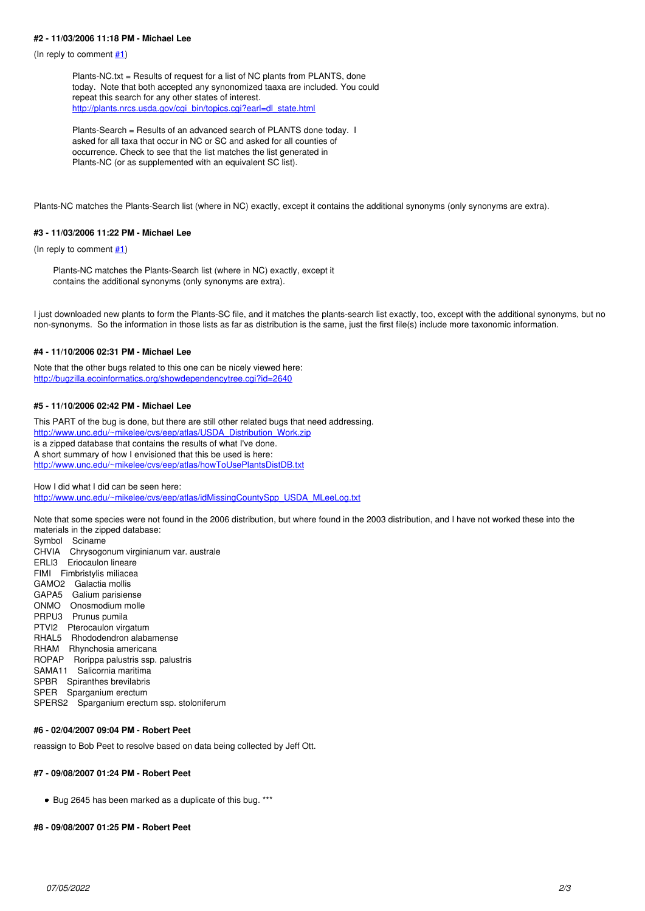#### **#2 - 11/03/2006 11:18 PM - Michael Lee**

(In reply to comment  $\#1$ )

Plants-NC.txt = Results of request for a list of NC plants from PLANTS, done today. Note that both accepted any synonomized taaxa are included. You could repeat this search for any other states of interest. [http://plants.nrcs.usda.gov/cgi\\_bin/topics.cgi?earl=dl\\_state.html](http://plants.nrcs.usda.gov/cgi_bin/topics.cgi?earl=dl_state.html)

Plants-Search = Results of an advanced search of PLANTS done today. I asked for all taxa that occur in NC or SC and asked for all counties of occurrence. Check to see that the list matches the list generated in Plants-NC (or as supplemented with an equivalent SC list).

Plants-NC matches the Plants-Search list (where in NC) exactly, except it contains the additional synonyms (only synonyms are extra).

#### **#3 - 11/03/2006 11:22 PM - Michael Lee**

(In reply to comment  $#1$ )

Plants-NC matches the Plants-Search list (where in NC) exactly, except it contains the additional synonyms (only synonyms are extra).

I just downloaded new plants to form the Plants-SC file, and it matches the plants-search list exactly, too, except with the additional synonyms, but no non-synonyms. So the information in those lists as far as distribution is the same, just the first file(s) include more taxonomic information.

### **#4 - 11/10/2006 02:31 PM - Michael Lee**

Note that the other bugs related to this one can be nicely viewed here: <http://bugzilla.ecoinformatics.org/showdependencytree.cgi?id=2640>

#### **#5 - 11/10/2006 02:42 PM - Michael Lee**

This PART of the bug is done, but there are still other related bugs that need addressing. [http://www.unc.edu/~mikelee/cvs/eep/atlas/USDA\\_Distribution\\_Work.zip](http://www.unc.edu/~mikelee/cvs/eep/atlas/USDA_Distribution_Work.zip) is a zipped database that contains the results of what I've done. A short summary of how I envisioned that this be used is here: <http://www.unc.edu/~mikelee/cvs/eep/atlas/howToUsePlantsDistDB.txt>

How I did what I did can be seen here:

[http://www.unc.edu/~mikelee/cvs/eep/atlas/idMissingCountySpp\\_USDA\\_MLeeLog.txt](http://www.unc.edu/~mikelee/cvs/eep/atlas/idMissingCountySpp_USDA_MLeeLog.txt)

Note that some species were not found in the 2006 distribution, but where found in the 2003 distribution, and I have not worked these into the materials in the zipped database:

Symbol Sciname CHVIA Chrysogonum virginianum var. australe ERLI3 Eriocaulon lineare FIMI Fimbristylis miliacea GAMO2 Galactia mollis GAPA5 Galium parisiense ONMO Onosmodium molle PRPU3 Prunus pumila PTVI2 Pterocaulon virgatum RHAL5 Rhododendron alabamense RHAM Rhynchosia americana ROPAP Rorippa palustris ssp. palustris SAMA11 Salicornia maritima SPBR Spiranthes brevilabris SPER Sparganium erectum SPERS2 Sparganium erectum ssp. stoloniferum

### **#6 - 02/04/2007 09:04 PM - Robert Peet**

reassign to Bob Peet to resolve based on data being collected by Jeff Ott.

#### **#7 - 09/08/2007 01:24 PM - Robert Peet**

• Bug 2645 has been marked as a duplicate of this bug. \*\*\*

#### **#8 - 09/08/2007 01:25 PM - Robert Peet**